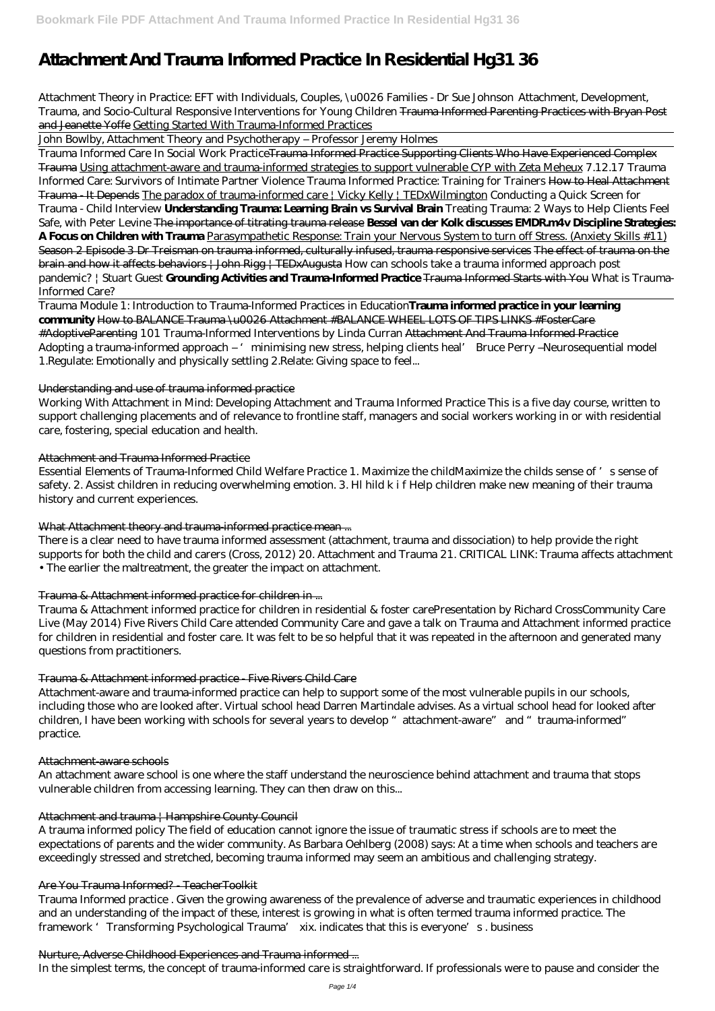# **Attachment And Trauma Informed Practice In Residential Hg31 36**

*Attachment Theory in Practice: EFT with Individuals, Couples, \u0026 Families - Dr Sue Johnson Attachment, Development, Trauma, and Socio-Cultural Responsive Interventions for Young Children* Trauma Informed Parenting Practices with Bryan Post and Jeanette Yoffe Getting Started With Trauma-Informed Practices

John Bowlby, Attachment Theory and Psychotherapy – Professor Jeremy Holmes

Trauma Informed Care In Social Work PracticeTrauma Informed Practice Supporting Clients Who Have Experienced Complex Trauma Using attachment-aware and trauma-informed strategies to support vulnerable CYP with Zeta Meheux *7.12.17 Trauma Informed Care: Survivors of Intimate Partner Violence Trauma Informed Practice: Training for Trainers* How to Heal Attachment Trauma - It Depends The paradox of trauma-informed care | Vicky Kelly | TEDxWilmington *Conducting a Quick Screen for Trauma - Child Interview* **Understanding Trauma: Learning Brain vs Survival Brain** *Treating Trauma: 2 Ways to Help Clients Feel Safe, with Peter Levine* The importance of titrating trauma release **Bessel van der Kolk discusses EMDR.m4v Discipline Strategies: A Focus on Children with Trauma** Parasympathetic Response: Train your Nervous System to turn off Stress. (Anxiety Skills #11) Season 2 Episode 3 Dr Treisman on trauma informed, culturally infused, trauma responsive services The effect of trauma on the brain and how it affects behaviors | John Rigg | TEDxAugusta *How can schools take a trauma informed approach post pandemic? | Stuart Guest* **Grounding Activities and Trauma-Informed Practice** Trauma Informed Starts with You *What is Trauma-Informed Care?*

Trauma Module 1: Introduction to Trauma-Informed Practices in Education**Trauma informed practice in your learning community** How to BALANCE Trauma \u0026 Attachment #BALANCE WHEEL LOTS OF TIPS LINKS #FosterCare #AdoptiveParenting 101 Trauma-Informed Interventions by Linda Curran Attachment And Trauma Informed Practice Adopting a trauma-informed approach – 'minimising new stress, helping clients heal' Bruce Perry –Neurosequential model 1.Regulate: Emotionally and physically settling 2.Relate: Giving space to feel...

#### Understanding and use of trauma informed practice

Trauma Informed practice . Given the growing awareness of the prevalence of adverse and traumatic experiences in childhood and an understanding of the impact of these, interest is growing in what is often termed trauma informed practice. The framework 'Transforming Psychological Trauma' xix. indicates that this is everyone's. business

Working With Attachment in Mind: Developing Attachment and Trauma Informed Practice This is a five day course, written to support challenging placements and of relevance to frontline staff, managers and social workers working in or with residential care, fostering, special education and health.

#### Attachment and Trauma Informed Practice

Essential Elements of Trauma-Informed Child Welfare Practice 1. Maximize the childMaximize the childs sense of 's sense of safety. 2. Assist children in reducing overwhelming emotion. 3. Hl hild k i f Help children make new meaning of their trauma history and current experiences.

#### What Attachment theory and trauma-informed practice mean ...

There is a clear need to have trauma informed assessment (attachment, trauma and dissociation) to help provide the right supports for both the child and carers (Cross, 2012) 20. Attachment and Trauma 21. CRITICAL LINK: Trauma affects attachment • The earlier the maltreatment, the greater the impact on attachment.

#### Trauma & Attachment informed practice for children in ...

Trauma & Attachment informed practice for children in residential & foster carePresentation by Richard CrossCommunity Care Live (May 2014) Five Rivers Child Care attended Community Care and gave a talk on Trauma and Attachment informed practice for children in residential and foster care. It was felt to be so helpful that it was repeated in the afternoon and generated many questions from practitioners.

#### Trauma & Attachment informed practice - Five Rivers Child Care

Attachment-aware and trauma-informed practice can help to support some of the most vulnerable pupils in our schools, including those who are looked after. Virtual school head Darren Martindale advises. As a virtual school head for looked after children, I have been working with schools for several years to develop "attachment-aware" and "trauma-informed" practice.

#### Attachment-aware schools

An attachment aware school is one where the staff understand the neuroscience behind attachment and trauma that stops vulnerable children from accessing learning. They can then draw on this...

#### Attachment and trauma | Hampshire County Council

A trauma informed policy The field of education cannot ignore the issue of traumatic stress if schools are to meet the expectations of parents and the wider community. As Barbara Oehlberg (2008) says: At a time when schools and teachers are exceedingly stressed and stretched, becoming trauma informed may seem an ambitious and challenging strategy.

#### Are You Trauma Informed? - TeacherToolkit

#### Nurture, Adverse Childhood Experiences and Trauma informed ...

In the simplest terms, the concept of trauma-informed care is straightforward. If professionals were to pause and consider the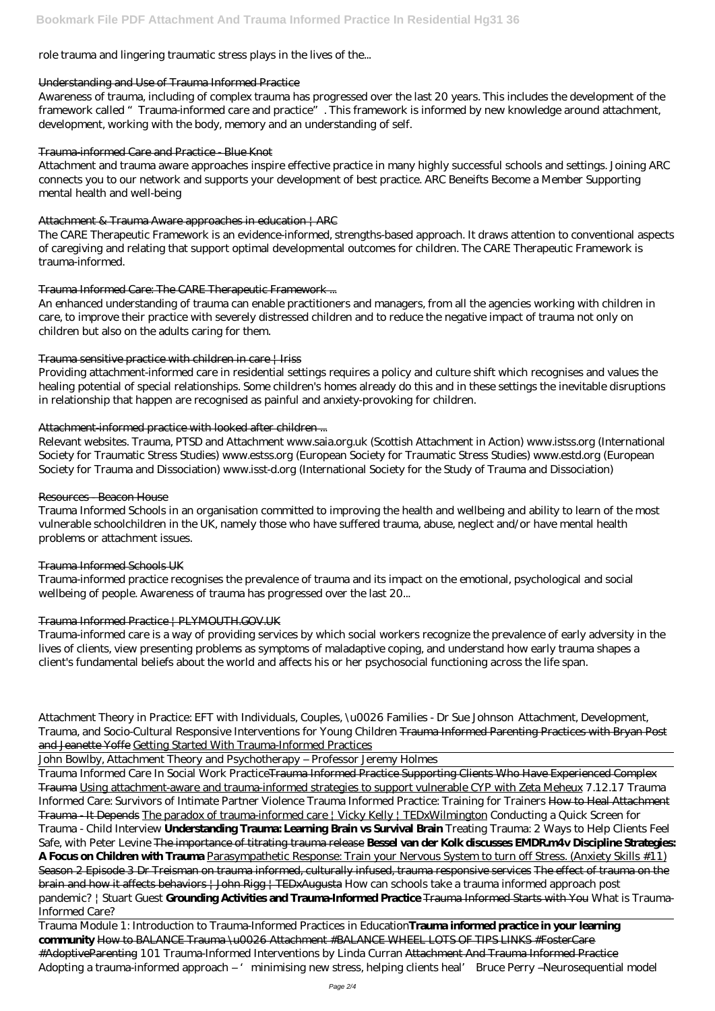# role trauma and lingering traumatic stress plays in the lives of the...

#### Understanding and Use of Trauma Informed Practice

Awareness of trauma, including of complex trauma has progressed over the last 20 years. This includes the development of the framework called "Trauma-informed care and practice". This framework is informed by new knowledge around attachment, development, working with the body, memory and an understanding of self.

#### Trauma-informed Care and Practice - Blue Knot

Attachment and trauma aware approaches inspire effective practice in many highly successful schools and settings. Joining ARC connects you to our network and supports your development of best practice. ARC Beneifts Become a Member Supporting mental health and well-being

#### Attachment & Trauma Aware approaches in education | ARC

The CARE Therapeutic Framework is an evidence-informed, strengths-based approach. It draws attention to conventional aspects of caregiving and relating that support optimal developmental outcomes for children. The CARE Therapeutic Framework is trauma-informed.

#### Trauma Informed Care: The CARE Therapeutic Framework ...

An enhanced understanding of trauma can enable practitioners and managers, from all the agencies working with children in care, to improve their practice with severely distressed children and to reduce the negative impact of trauma not only on children but also on the adults caring for them.

## Trauma sensitive practice with children in care  $\frac{1}{1}$  Iriss

Providing attachment-informed care in residential settings requires a policy and culture shift which recognises and values the healing potential of special relationships. Some children's homes already do this and in these settings the inevitable disruptions in relationship that happen are recognised as painful and anxiety-provoking for children.

#### Attachment-informed practice with looked after children ...

Relevant websites. Trauma, PTSD and Attachment www.saia.org.uk (Scottish Attachment in Action) www.istss.org (International Society for Traumatic Stress Studies) www.estss.org (European Society for Traumatic Stress Studies) www.estd.org (European Society for Trauma and Dissociation) www.isst-d.org (International Society for the Study of Trauma and Dissociation)

#### Resources - Beacon House

Trauma Module 1: Introduction to Trauma-Informed Practices in Education**Trauma informed practice in your learning community** How to BALANCE Trauma \u0026 Attachment #BALANCE WHEEL LOTS OF TIPS LINKS #FosterCare #AdoptiveParenting 101 Trauma-Informed Interventions by Linda Curran Attachment And Trauma Informed Practice Adopting a trauma-informed approach – ' minimising new stress, helping clients heal' Bruce Perry –Neurosequential model

Trauma Informed Schools in an organisation committed to improving the health and wellbeing and ability to learn of the most vulnerable schoolchildren in the UK, namely those who have suffered trauma, abuse, neglect and/or have mental health problems or attachment issues.

#### Trauma Informed Schools UK

Trauma-informed practice recognises the prevalence of trauma and its impact on the emotional, psychological and social wellbeing of people. Awareness of trauma has progressed over the last 20...

#### Trauma Informed Practice | PLYMOUTH.GOV.UK

Trauma-informed care is a way of providing services by which social workers recognize the prevalence of early adversity in the lives of clients, view presenting problems as symptoms of maladaptive coping, and understand how early trauma shapes a client's fundamental beliefs about the world and affects his or her psychosocial functioning across the life span.

*Attachment Theory in Practice: EFT with Individuals, Couples, \u0026 Families - Dr Sue Johnson Attachment, Development, Trauma, and Socio-Cultural Responsive Interventions for Young Children* Trauma Informed Parenting Practices with Bryan Post and Jeanette Yoffe Getting Started With Trauma-Informed Practices

John Bowlby, Attachment Theory and Psychotherapy – Professor Jeremy Holmes

Trauma Informed Care In Social Work PracticeTrauma Informed Practice Supporting Clients Who Have Experienced Complex Trauma Using attachment-aware and trauma-informed strategies to support vulnerable CYP with Zeta Meheux *7.12.17 Trauma Informed Care: Survivors of Intimate Partner Violence Trauma Informed Practice: Training for Trainers* How to Heal Attachment Trauma - It Depends The paradox of trauma-informed care | Vicky Kelly | TEDxWilmington *Conducting a Quick Screen for Trauma - Child Interview* **Understanding Trauma: Learning Brain vs Survival Brain** *Treating Trauma: 2 Ways to Help Clients Feel Safe, with Peter Levine* The importance of titrating trauma release **Bessel van der Kolk discusses EMDR.m4v Discipline Strategies: A Focus on Children with Trauma** Parasympathetic Response: Train your Nervous System to turn off Stress. (Anxiety Skills #11) Season 2 Episode 3 Dr Treisman on trauma informed, culturally infused, trauma responsive services The effect of trauma on the brain and how it affects behaviors | John Rigg | TEDxAugusta *How can schools take a trauma informed approach post pandemic? | Stuart Guest* **Grounding Activities and Trauma-Informed Practice** Trauma Informed Starts with You *What is Trauma-Informed Care?*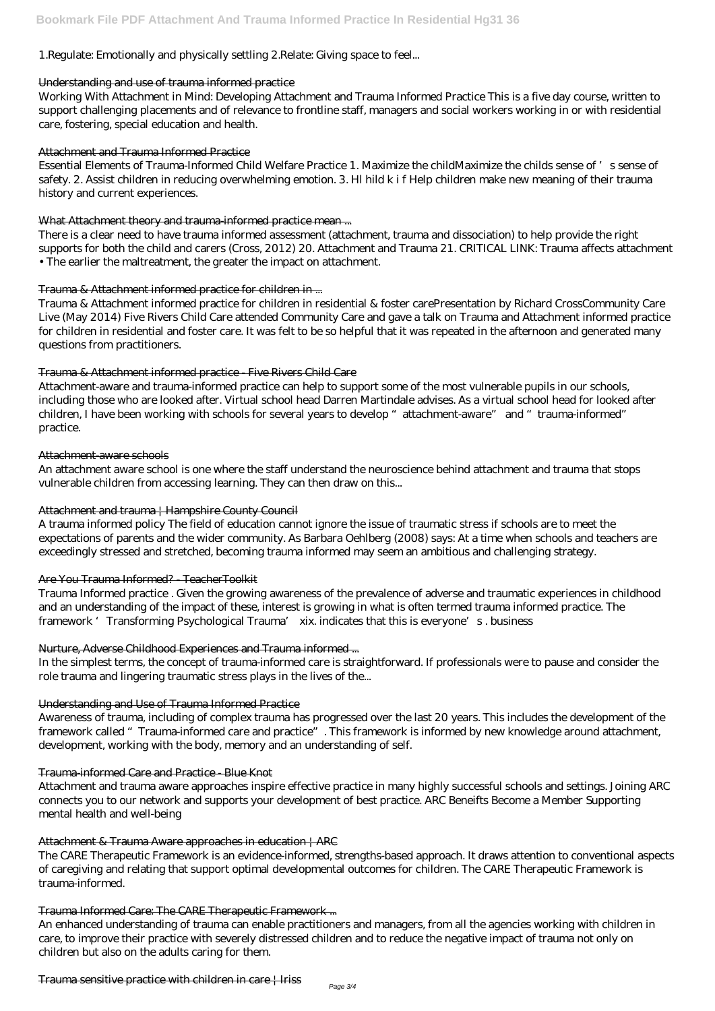# 1.Regulate: Emotionally and physically settling 2.Relate: Giving space to feel...

#### Understanding and use of trauma informed practice

Working With Attachment in Mind: Developing Attachment and Trauma Informed Practice This is a five day course, written to support challenging placements and of relevance to frontline staff, managers and social workers working in or with residential care, fostering, special education and health.

#### Attachment and Trauma Informed Practice

Essential Elements of Trauma-Informed Child Welfare Practice 1. Maximize the childMaximize the childs sense of 's sense of safety. 2. Assist children in reducing overwhelming emotion. 3. Hl hild k i f Help children make new meaning of their trauma history and current experiences.

#### What Attachment theory and trauma-informed practice mean ...

There is a clear need to have trauma informed assessment (attachment, trauma and dissociation) to help provide the right supports for both the child and carers (Cross, 2012) 20. Attachment and Trauma 21. CRITICAL LINK: Trauma affects attachment • The earlier the maltreatment, the greater the impact on attachment.

#### Trauma & Attachment informed practice for children in ...

Trauma Informed practice . Given the growing awareness of the prevalence of adverse and traumatic experiences in childhood and an understanding of the impact of these, interest is growing in what is often termed trauma informed practice. The framework 'Transforming Psychological Trauma' xix. indicates that this is everyone's. business

Trauma & Attachment informed practice for children in residential & foster carePresentation by Richard CrossCommunity Care Live (May 2014) Five Rivers Child Care attended Community Care and gave a talk on Trauma and Attachment informed practice for children in residential and foster care. It was felt to be so helpful that it was repeated in the afternoon and generated many questions from practitioners.

#### Trauma & Attachment informed practice - Five Rivers Child Care

Attachment-aware and trauma-informed practice can help to support some of the most vulnerable pupils in our schools, including those who are looked after. Virtual school head Darren Martindale advises. As a virtual school head for looked after children, I have been working with schools for several years to develop "attachment-aware" and "trauma-informed" practice.

#### Attachment-aware schools

An attachment aware school is one where the staff understand the neuroscience behind attachment and trauma that stops vulnerable children from accessing learning. They can then draw on this...

#### Attachment and trauma | Hampshire County Council

A trauma informed policy The field of education cannot ignore the issue of traumatic stress if schools are to meet the expectations of parents and the wider community. As Barbara Oehlberg (2008) says: At a time when schools and teachers are exceedingly stressed and stretched, becoming trauma informed may seem an ambitious and challenging strategy.

#### Are You Trauma Informed? - TeacherToolkit

#### Nurture, Adverse Childhood Experiences and Trauma informed ...

In the simplest terms, the concept of trauma-informed care is straightforward. If professionals were to pause and consider the role trauma and lingering traumatic stress plays in the lives of the...

#### Understanding and Use of Trauma Informed Practice

Awareness of trauma, including of complex trauma has progressed over the last 20 years. This includes the development of the framework called "Trauma-informed care and practice". This framework is informed by new knowledge around attachment, development, working with the body, memory and an understanding of self.

#### Trauma-informed Care and Practice - Blue Knot

Attachment and trauma aware approaches inspire effective practice in many highly successful schools and settings. Joining ARC connects you to our network and supports your development of best practice. ARC Beneifts Become a Member Supporting mental health and well-being

#### Attachment & Trauma Aware approaches in education | ARC

The CARE Therapeutic Framework is an evidence-informed, strengths-based approach. It draws attention to conventional aspects of caregiving and relating that support optimal developmental outcomes for children. The CARE Therapeutic Framework is trauma-informed.

#### Trauma Informed Care: The CARE Therapeutic Framework ...

An enhanced understanding of trauma can enable practitioners and managers, from all the agencies working with children in care, to improve their practice with severely distressed children and to reduce the negative impact of trauma not only on children but also on the adults caring for them.